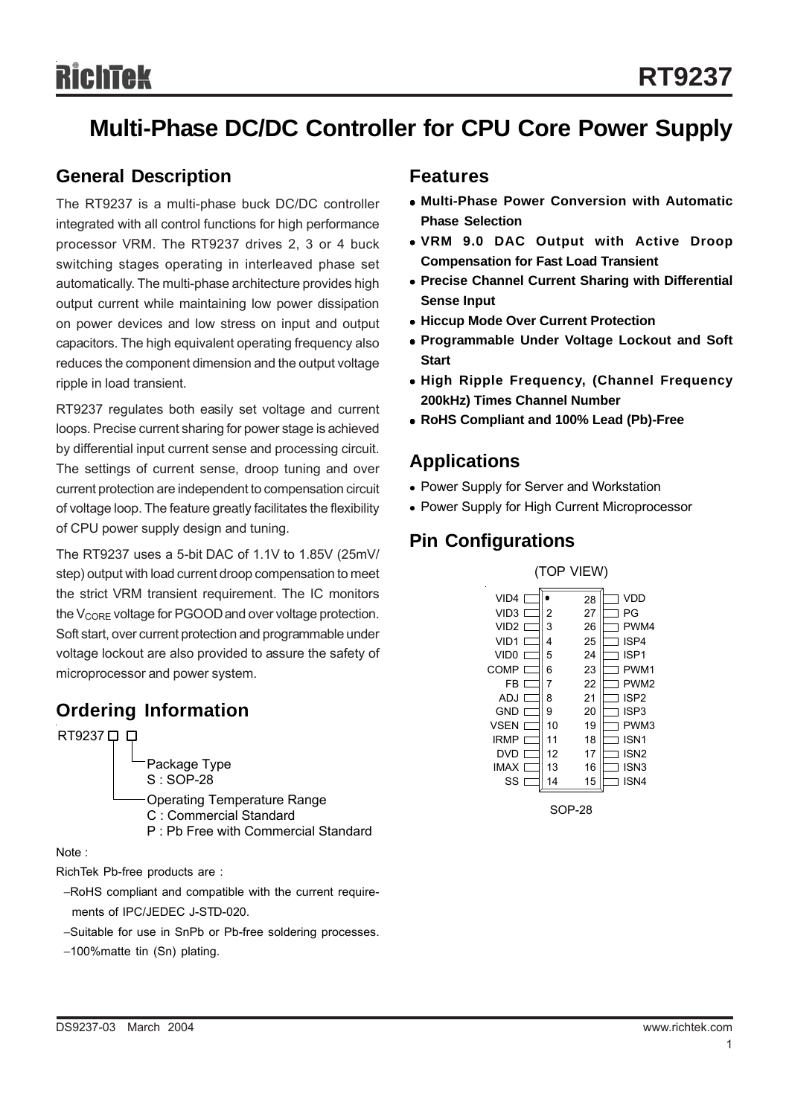## **Multi-Phase DC/DC Controller for CPU Core Power Supply**

## **General Description**

The RT9237 is a multi-phase buck DC/DC controller integrated with all control functions for high performance processor VRM. The RT9237 drives 2, 3 or 4 buck switching stages operating in interleaved phase set automatically. The multi-phase architecture provides high output current while maintaining low power dissipation on power devices and low stress on input and output capacitors. The high equivalent operating frequency also reduces the component dimension and the output voltage ripple in load transient.

RT9237 regulates both easily set voltage and current loops. Precise current sharing for power stage is achieved by differential input current sense and processing circuit. The settings of current sense, droop tuning and over current protection are independent to compensation circuit of voltage loop. The feature greatly facilitates the flexibility of CPU power supply design and tuning.

The RT9237 uses a 5-bit DAC of 1.1V to 1.85V (25mV/ step) output with load current droop compensation to meet the strict VRM transient requirement. The IC monitors the V<sub>CORE</sub> voltage for PGOOD and over voltage protection. Soft start, over current protection and programmable under voltage lockout are also provided to assure the safety of microprocessor and power system.

## **Ordering Information**

RT9237 0 D

Package Type S : SOP-28 Operating Temperature Range C : Commercial Standard P : Pb Free with Commercial Standard

Note :

RichTek Pb-free products are :

- −RoHS compliant and compatible with the current require ments of IPC/JEDEC J-STD-020.
- −Suitable for use in SnPb or Pb-free soldering processes.
- −100%matte tin (Sn) plating.

#### **Features**

- <sup>z</sup> **Multi-Phase Power Conversion with Automatic Phase Selection**
- <sup>z</sup> **VRM 9.0 DAC Output with Active Droop Compensation for Fast Load Transient**
- **Precise Channel Current Sharing with Differential Sense Input**
- $\bullet$  **Hiccup Mode Over Current Protection**
- **Programmable Under Voltage Lockout and Soft Start**
- **High Ripple Frequency, (Channel Frequency 200kHz) Times Channel Number**
- <sup>z</sup> **RoHS Compliant and 100% Lead (Pb)-Free**

## **Applications**

- Power Supply for Server and Workstation
- Power Supply for High Current Microprocessor

## **Pin Configurations**



SOP-28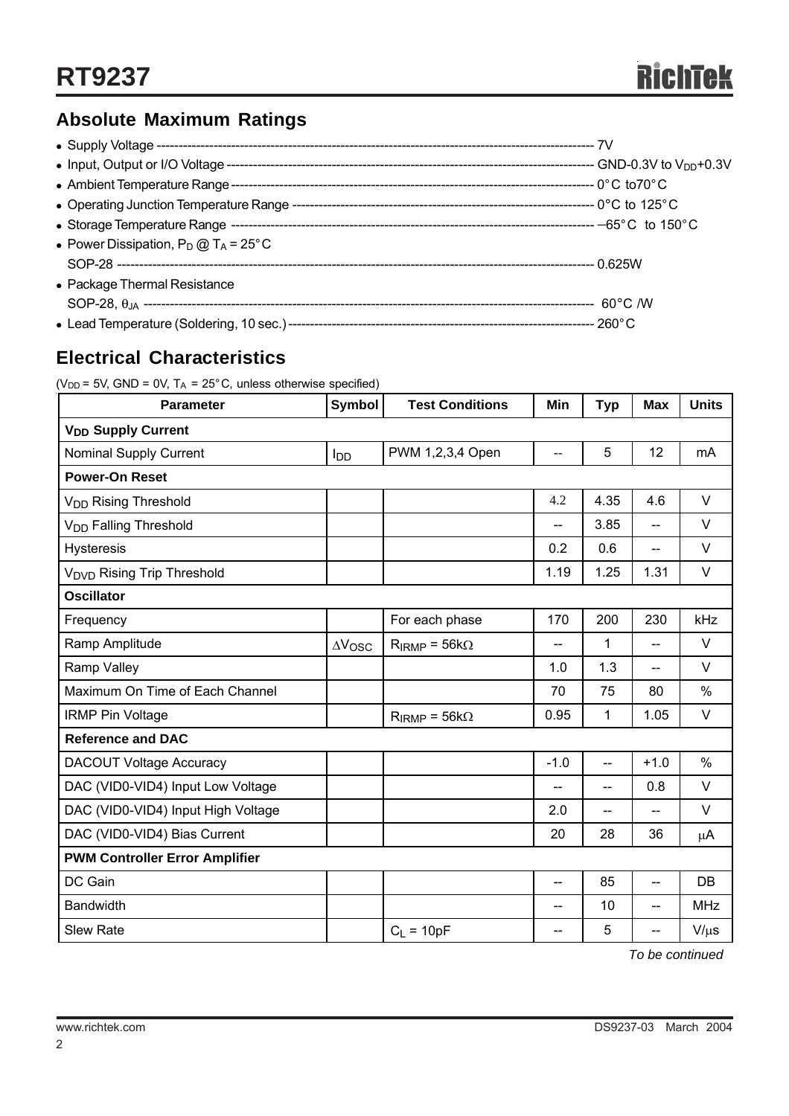## **Absolute Maximum Ratings**

| • Power Dissipation, $P_D @ T_A = 25^{\circ}C$ |  |
|------------------------------------------------|--|
|                                                |  |
| • Package Thermal Resistance                   |  |
|                                                |  |
|                                                |  |

## **Electrical Characteristics**

| ( $V_{DD}$ = 5V, GND = 0V, T <sub>A</sub> = 25°C, unless otherwise specified) |  |  |  |  |  |
|-------------------------------------------------------------------------------|--|--|--|--|--|
|-------------------------------------------------------------------------------|--|--|--|--|--|

| <b>Parameter</b>                       | Symbol          | <b>Test Conditions</b> | Min            | <b>Typ</b> | <b>Max</b>     | <b>Units</b>  |  |  |  |
|----------------------------------------|-----------------|------------------------|----------------|------------|----------------|---------------|--|--|--|
| <b>V<sub>DD</sub></b> Supply Current   |                 |                        |                |            |                |               |  |  |  |
| Nominal Supply Current                 | l <sub>DD</sub> | PWM 1,2,3,4 Open       | --             | 5          | 12             | mA            |  |  |  |
| <b>Power-On Reset</b>                  |                 |                        |                |            |                |               |  |  |  |
| V <sub>DD</sub> Rising Threshold       |                 |                        | 4.2            | 4.35       | 4.6            | V             |  |  |  |
| V <sub>DD</sub> Falling Threshold      |                 |                        | $\overline{a}$ | 3.85       | $-$            | V             |  |  |  |
| Hysteresis                             |                 |                        | 0.2            | 0.6        | --             | V             |  |  |  |
| V <sub>DVD</sub> Rising Trip Threshold |                 |                        | 1.19           | 1.25       | 1.31           | V             |  |  |  |
| <b>Oscillator</b>                      |                 |                        |                |            |                |               |  |  |  |
| Frequency                              |                 | For each phase         | 170            | 200        | 230            | kHz           |  |  |  |
| Ramp Amplitude                         | $\Delta V$ OSC  | $R_{IRMP} = 56k\Omega$ | --             | 1          | $-$            | V             |  |  |  |
| Ramp Valley                            |                 |                        | 1.0            | 1.3        | --             | V             |  |  |  |
| Maximum On Time of Each Channel        |                 |                        | 70             | 75         | 80             | %             |  |  |  |
| <b>IRMP Pin Voltage</b>                |                 | $R_{IRMP} = 56k\Omega$ | 0.95           | 1          | 1.05           | V             |  |  |  |
| <b>Reference and DAC</b>               |                 |                        |                |            |                |               |  |  |  |
| <b>DACOUT Voltage Accuracy</b>         |                 |                        | $-1.0$         | $-$        | $+1.0$         | $\frac{0}{0}$ |  |  |  |
| DAC (VID0-VID4) Input Low Voltage      |                 |                        | --             | --         | 0.8            | $\vee$        |  |  |  |
| DAC (VID0-VID4) Input High Voltage     |                 |                        | 2.0            | --         |                | V             |  |  |  |
| DAC (VID0-VID4) Bias Current           |                 |                        | 20             | 28         | 36             | μA            |  |  |  |
| <b>PWM Controller Error Amplifier</b>  |                 |                        |                |            |                |               |  |  |  |
| DC Gain                                |                 |                        | $-$            | 85         | $\overline{a}$ | DB            |  |  |  |
| <b>Bandwidth</b>                       |                 |                        | --             | 10         | $\overline{a}$ | <b>MHz</b>    |  |  |  |
| <b>Slew Rate</b>                       |                 | $C_L = 10pF$           | --             | 5          | --             | $V/\mu s$     |  |  |  |

*To be continued* 

2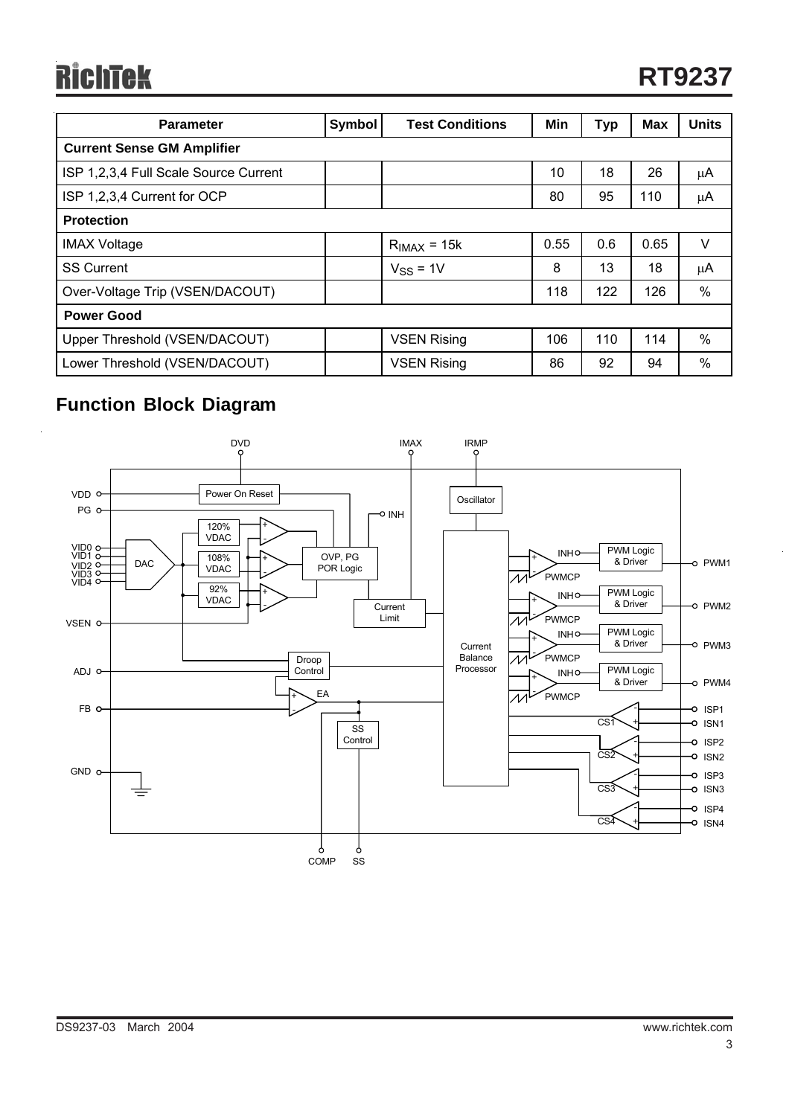## **RichTek**

| <b>Parameter</b>                      | <b>Symbol</b> | <b>Test Conditions</b> | Min  | <b>Typ</b> | <b>Max</b> | <b>Units</b> |  |  |
|---------------------------------------|---------------|------------------------|------|------------|------------|--------------|--|--|
| <b>Current Sense GM Amplifier</b>     |               |                        |      |            |            |              |  |  |
| ISP 1,2,3,4 Full Scale Source Current |               |                        | 10   | 18         | 26         | μA           |  |  |
| ISP 1,2,3,4 Current for OCP           |               |                        | 80   | 95         | 110        | $\mu$ A      |  |  |
| <b>Protection</b>                     |               |                        |      |            |            |              |  |  |
| <b>IMAX Voltage</b>                   |               | $RIMAX = 15k$          | 0.55 | 0.6        | 0.65       | V            |  |  |
| <b>SS Current</b>                     |               | $VSS = 1V$             | 8    | 13         | 18         | μA           |  |  |
| Over-Voltage Trip (VSEN/DACOUT)       |               |                        | 118  | 122        | 126        | %            |  |  |
| <b>Power Good</b>                     |               |                        |      |            |            |              |  |  |
| Upper Threshold (VSEN/DACOUT)         |               | <b>VSEN Rising</b>     | 106  | 110        | 114        | $\%$         |  |  |
| Lower Threshold (VSEN/DACOUT)         |               | <b>VSEN Rising</b>     | 86   | 92         | 94         | $\%$         |  |  |

## **Function Block Diagram**

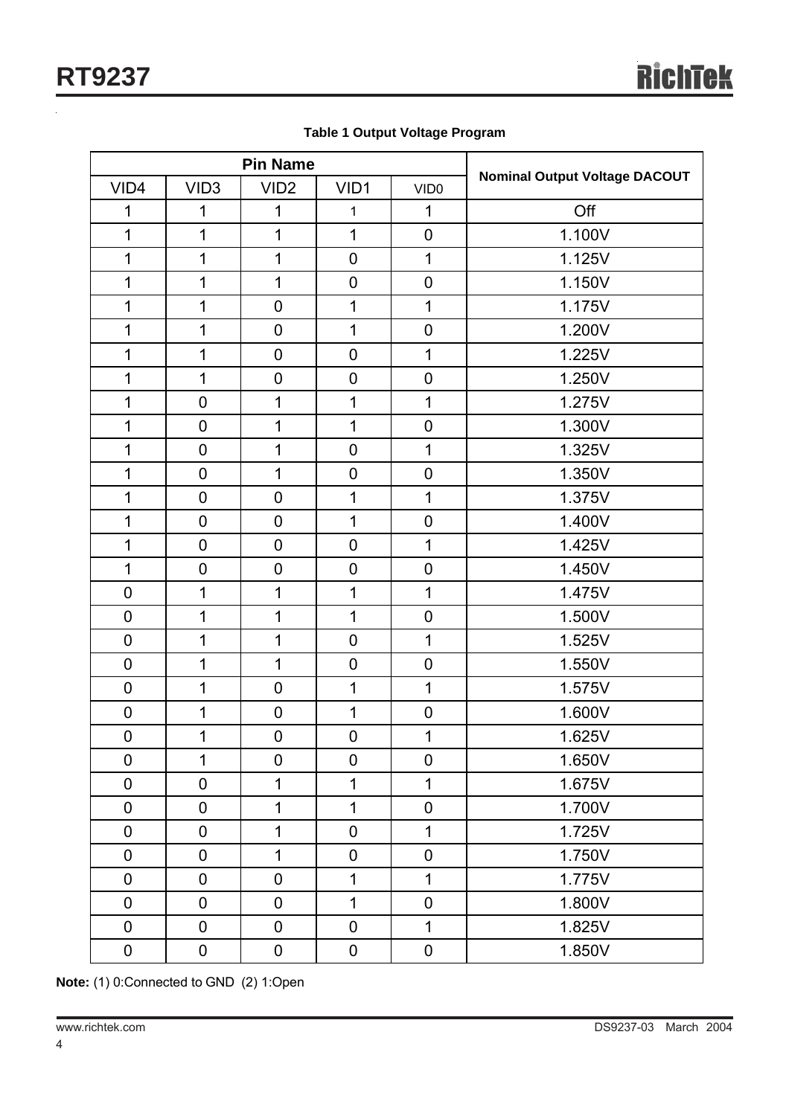| <b>Pin Name</b> |                  |                  |                  |                  |                                      |
|-----------------|------------------|------------------|------------------|------------------|--------------------------------------|
| VID4            | VID <sub>3</sub> | VID <sub>2</sub> | VID1             | VID <sub>0</sub> | <b>Nominal Output Voltage DACOUT</b> |
| 1               | 1                | 1                | 1                | $\mathbf{1}$     | Off                                  |
| $\mathbf 1$     | 1                | 1                | $\mathbf 1$      | $\mathbf 0$      | 1.100V                               |
| $\mathbf 1$     | 1                | 1                | $\mathbf 0$      | $\mathbf{1}$     | 1.125V                               |
| $\mathbf 1$     | 1                | 1                | $\pmb{0}$        | $\mathbf 0$      | 1.150V                               |
| $\mathbf 1$     | 1                | $\mathbf 0$      | $\mathbf 1$      | $\mathbf{1}$     | 1.175V                               |
| $\mathbf 1$     | 1                | $\pmb{0}$        | $\mathbf 1$      | $\pmb{0}$        | 1.200V                               |
| $\mathbf 1$     | 1                | $\mathbf 0$      | $\mathbf 0$      | $\mathbf{1}$     | 1.225V                               |
| $\mathbf 1$     | 1                | $\pmb{0}$        | $\pmb{0}$        | $\pmb{0}$        | 1.250V                               |
| $\mathbf 1$     | $\mathbf 0$      | 1                | $\mathbf 1$      | $\overline{1}$   | 1.275V                               |
| $\mathbf 1$     | $\mathbf 0$      | 1                | $\mathbf 1$      | $\pmb{0}$        | 1.300V                               |
| $\mathbf 1$     | $\mathbf 0$      | 1                | $\mathbf 0$      | $\overline{1}$   | 1.325V                               |
| $\mathbf 1$     | $\mathbf 0$      | 1                | $\pmb{0}$        | $\pmb{0}$        | 1.350V                               |
| $\mathbf 1$     | $\mathbf 0$      | $\mathbf 0$      | $\mathbf 1$      | $\mathbf{1}$     | 1.375V                               |
| $\mathbf 1$     | $\mathbf 0$      | $\pmb{0}$        | $\mathbf 1$      | $\pmb{0}$        | 1.400V                               |
| $\mathbf 1$     | $\mathbf 0$      | $\mathbf 0$      | $\mathbf 0$      | $\overline{1}$   | 1.425V                               |
| $\mathbf 1$     | $\mathbf 0$      | $\boldsymbol{0}$ | $\pmb{0}$        | $\pmb{0}$        | 1.450V                               |
| $\pmb{0}$       | 1                | 1                | $\mathbf 1$      | $\overline{1}$   | 1.475V                               |
| $\pmb{0}$       | 1                | 1                | $\mathbf 1$      | $\pmb{0}$        | 1.500V                               |
| $\pmb{0}$       | 1                | 1                | $\mathbf 0$      | 1                | 1.525V                               |
| $\pmb{0}$       | 1                | 1                | $\pmb{0}$        | $\pmb{0}$        | 1.550V                               |
| $\pmb{0}$       | 1                | $\mathbf 0$      | $\mathbf 1$      | $\mathbf{1}$     | 1.575V                               |
| $\pmb{0}$       | 1                | $\pmb{0}$        | $\mathbf 1$      | $\pmb{0}$        | 1.600V                               |
| $\pmb{0}$       | 1                | $\pmb{0}$        | $\pmb{0}$        | $\mathbf 1$      | 1.625V                               |
| $\mathbf 0$     | 1                | $\mathbf 0$      | $\boldsymbol{0}$ | $\pmb{0}$        | 1.650V                               |
| $\pmb{0}$       | $\mathbf 0$      | 1                | $\mathbf 1$      | $\mathbf{1}$     | 1.675V                               |
| $\pmb{0}$       | $\mathsf 0$      | 1                | $\mathbf 1$      | $\mathbf 0$      | 1.700V                               |
| $\pmb{0}$       | $\mathbf 0$      | 1                | $\pmb{0}$        | $\mathbf{1}$     | 1.725V                               |
| $\pmb{0}$       | $\mathbf 0$      | 1                | $\mathbf 0$      | $\mathbf 0$      | 1.750V                               |
| $\pmb{0}$       | $\mathbf 0$      | $\mathbf 0$      | $\mathbf 1$      | $\mathbf{1}$     | 1.775V                               |
| $\pmb{0}$       | $\mathbf 0$      | $\mathbf 0$      | $\mathbf 1$      | $\mathbf 0$      | 1.800V                               |
| $\pmb{0}$       | $\mathbf 0$      | $\mathbf 0$      | $\mathbf 0$      | $\mathbf{1}$     | 1.825V                               |
| $\pmb{0}$       | $\pmb{0}$        | $\pmb{0}$        | $\pmb{0}$        | $\boldsymbol{0}$ | 1.850V                               |

**Table 1 Output Voltage Program** 

**Note:** (1) 0:Connected to GND (2) 1:Open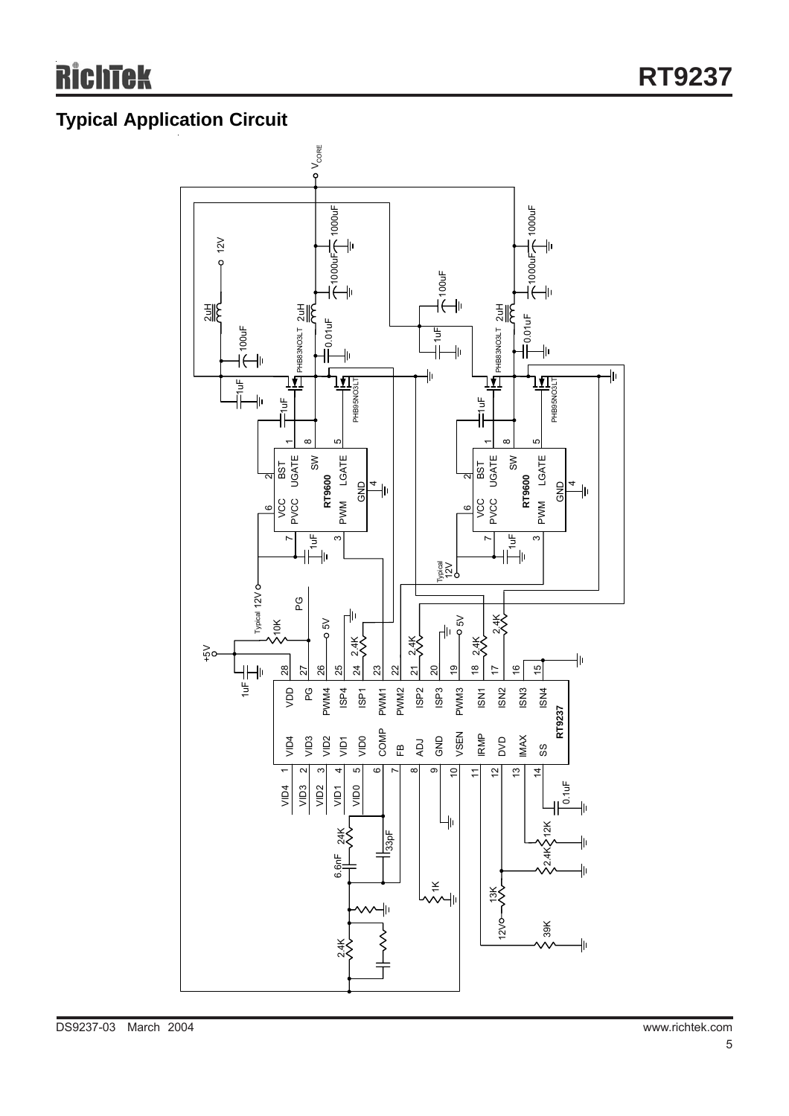## **Typical Application Circuit**

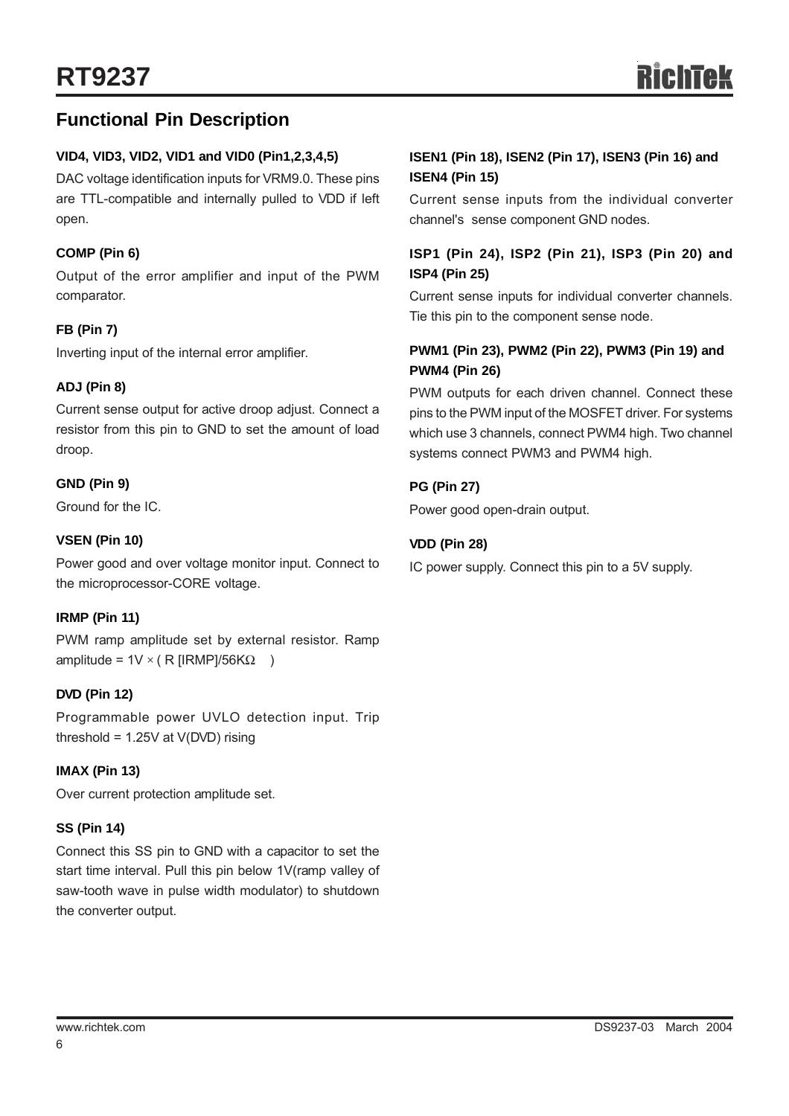## **Functional Pin Description**

#### **VID4, VID3, VID2, VID1 and VID0 (Pin1,2,3,4,5)**

DAC voltage identification inputs for VRM9.0. These pins are TTL-compatible and internally pulled to VDD if left open.

#### **COMP (Pin 6)**

Output of the error amplifier and input of the PWM comparator.

#### **FB (Pin 7)**

Inverting input of the internal error amplifier.

#### **ADJ (Pin 8)**

Current sense output for active droop adjust. Connect a resistor from this pin to GND to set the amount of load droop.

#### **GND (Pin 9)**

Ground for the IC.

#### **VSEN (Pin 10)**

Power good and over voltage monitor input. Connect to the microprocessor-CORE voltage.

#### **IRMP (Pin 11)**

PWM ramp amplitude set by external resistor. Ramp amplitude =  $1V \times (R$  [IRMP]/56KΩ )

#### **DVD (Pin 12)**

Programmable power UVLO detection input. Trip threshold =  $1.25V$  at  $V(DVD)$  rising

#### **IMAX (Pin 13)**

Over current protection amplitude set.

#### **SS (Pin 14)**

Connect this SS pin to GND with a capacitor to set the start time interval. Pull this pin below 1V(ramp valley of saw-tooth wave in pulse width modulator) to shutdown the converter output.

#### **ISEN1 (Pin 18), ISEN2 (Pin 17), ISEN3 (Pin 16) and ISEN4 (Pin 15)**

Current sense inputs from the individual converter channel's sense component GND nodes.

#### **ISP1 (Pin 24), ISP2 (Pin 21), ISP3 (Pin 20) and ISP4 (Pin 25)**

Current sense inputs for individual converter channels. Tie this pin to the component sense node.

#### **PWM1 (Pin 23), PWM2 (Pin 22), PWM3 (Pin 19) and PWM4 (Pin 26)**

PWM outputs for each driven channel. Connect these pins to the PWM input of the MOSFET driver. For systems which use 3 channels, connect PWM4 high. Two channel systems connect PWM3 and PWM4 high.

#### **PG (Pin 27)**

Power good open-drain output.

#### **VDD (Pin 28)**

IC power supply. Connect this pin to a 5V supply.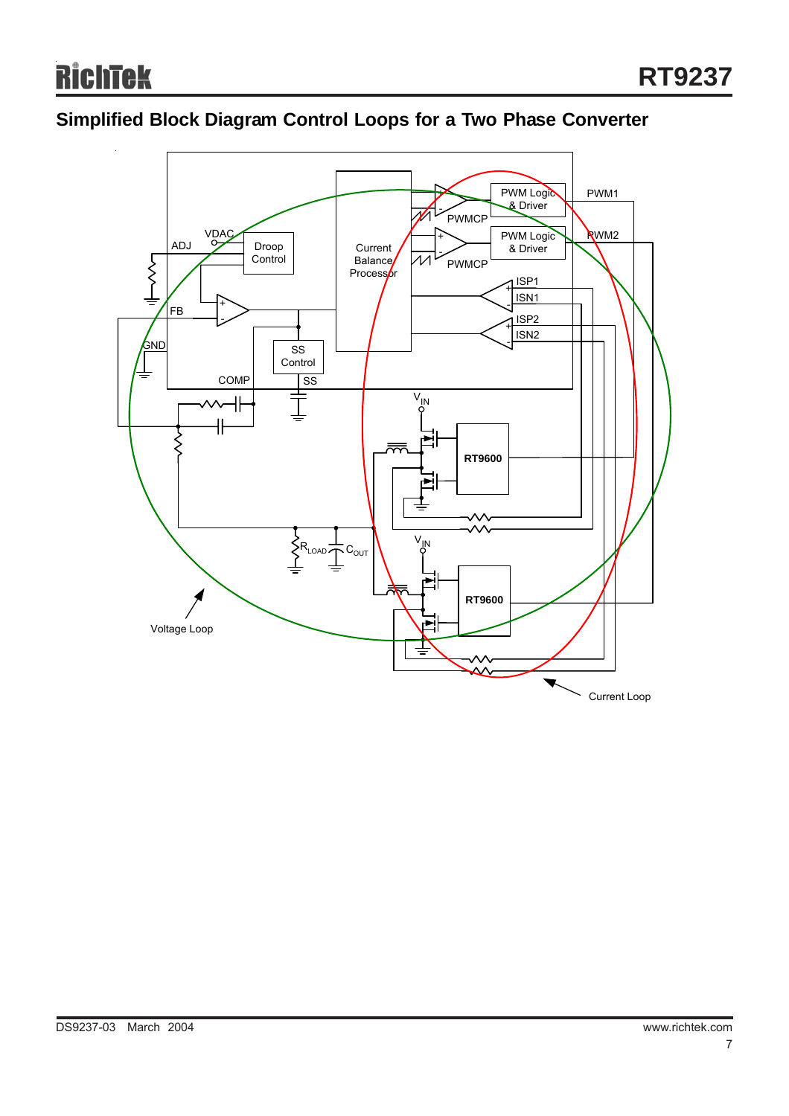## **Simplified Block Diagram Control Loops for a Two Phase Converter**

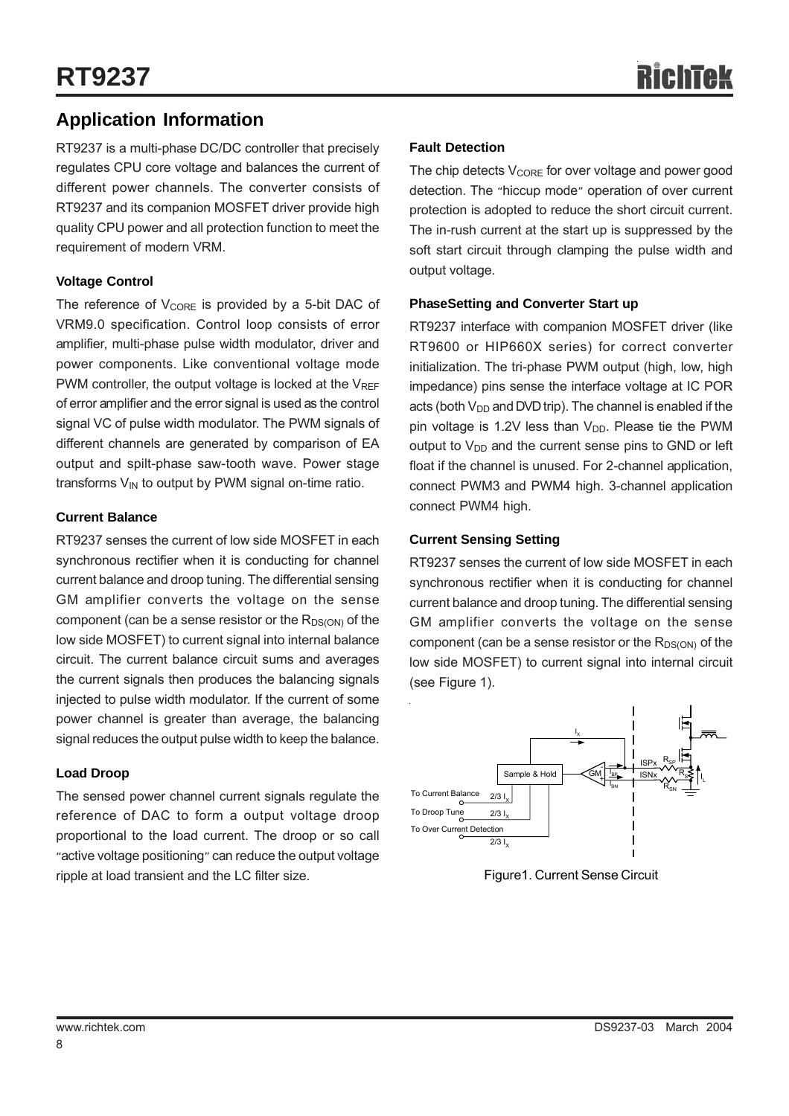## **Application Information**

RT9237 is a multi-phase DC/DC controller that precisely regulates CPU core voltage and balances the current of different power channels. The converter consists of RT9237 and its companion MOSFET driver provide high quality CPU power and all protection function to meet the requirement of modern VRM.

#### **Voltage Control**

The reference of  $V_{CORE}$  is provided by a 5-bit DAC of VRM9.0 specification. Control loop consists of error amplifier, multi-phase pulse width modulator, driver and power components. Like conventional voltage mode PWM controller, the output voltage is locked at the  $V_{REF}$ of error amplifier and the error signal is used as the control signal VC of pulse width modulator. The PWM signals of different channels are generated by comparison of EA output and spilt-phase saw-tooth wave. Power stage transforms  $V_{IN}$  to output by PWM signal on-time ratio.

#### **Current Balance**

RT9237 senses the current of low side MOSFET in each synchronous rectifier when it is conducting for channel current balance and droop tuning. The differential sensing GM amplifier converts the voltage on the sense component (can be a sense resistor or the  $R_{DS(ON)}$  of the low side MOSFET) to current signal into internal balance circuit. The current balance circuit sums and averages the current signals then produces the balancing signals injected to pulse width modulator. If the current of some power channel is greater than average, the balancing signal reduces the output pulse width to keep the balance.

#### **Load Droop**

The sensed power channel current signals regulate the reference of DAC to form a output voltage droop proportional to the load current. The droop or so call "active voltage positioning" can reduce the output voltage ripple at load transient and the LC filter size.

#### **Fault Detection**

The chip detects  $V_{\text{CORF}}$  for over voltage and power good detection. The "hiccup mode" operation of over current protection is adopted to reduce the short circuit current. The in-rush current at the start up is suppressed by the soft start circuit through clamping the pulse width and output voltage.

#### **PhaseSetting and Converter Start up**

RT9237 interface with companion MOSFET driver (like RT9600 or HIP660X series) for correct converter initialization. The tri-phase PWM output (high, low, high impedance) pins sense the interface voltage at IC POR acts (both  $V_{DD}$  and DVD trip). The channel is enabled if the pin voltage is 1.2V less than  $V_{DD}$ . Please tie the PWM output to  $V_{DD}$  and the current sense pins to GND or left float if the channel is unused. For 2-channel application, connect PWM3 and PWM4 high. 3-channel application connect PWM4 high.

#### **Current Sensing Setting**

RT9237 senses the current of low side MOSFET in each synchronous rectifier when it is conducting for channel current balance and droop tuning. The differential sensing GM amplifier converts the voltage on the sense component (can be a sense resistor or the  $R_{DS(ON)}$  of the low side MOSFET) to current signal into internal circuit (see Figure 1).



Figure1. Current Sense Circuit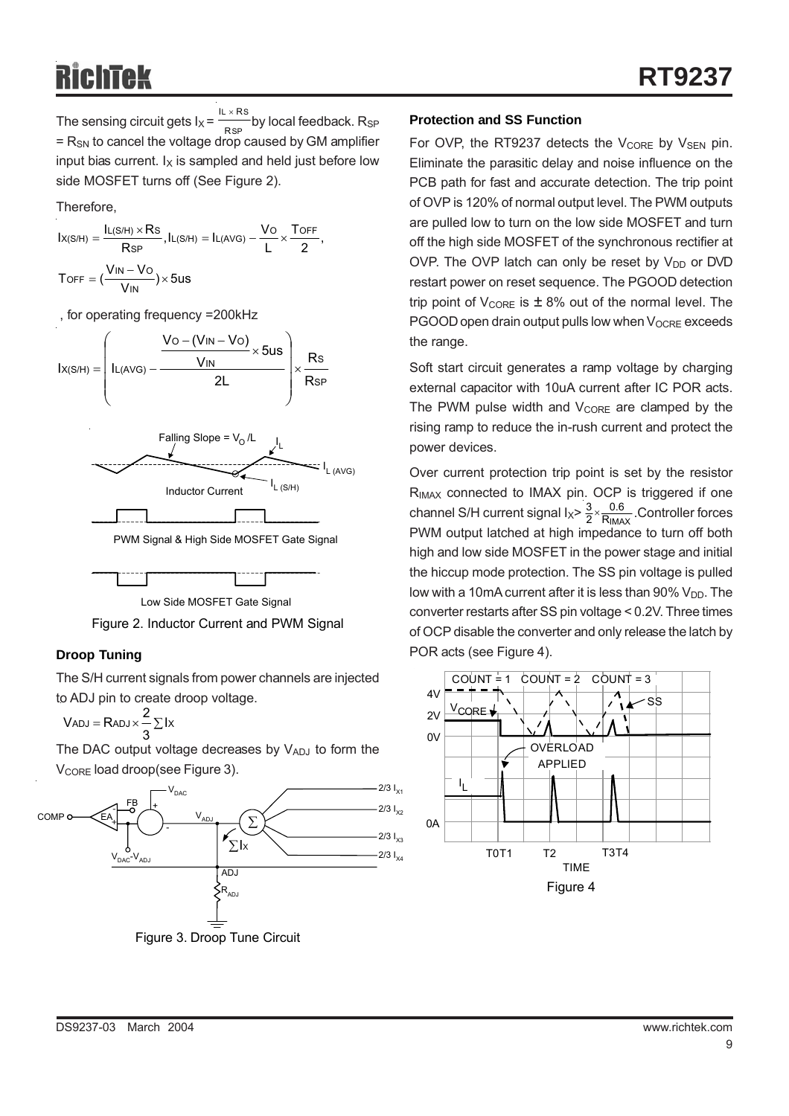The sensing circuit gets  $I_X = \frac{1}{RSP}$  by local feedback. R<sub>SP</sub>  $=$  R<sub>SN</sub> to cancel the voltage drop caused by GM amplifier input bias current.  $I_X$  is sampled and held just before low side MOSFET turns off (See Figure 2). L  $\times$  RS R IL  $\times$  R

Therefore,

$$
\begin{aligned} l_{X(S/H)}&=\frac{l_{L(S/H)\times RS}}{R_{SP}}, l_{L(S/H)}=l_{L(AVG)}-\frac{V_O}{L}\times\frac{T_{OFF}}{2},\\ T_{OFF}&=(\frac{V_{IN}-V_O}{V_{IN}})\times 5us \end{aligned}
$$

, for operating frequency =200kHz







#### **Droop Tuning**

The S/H current signals from power channels are injected to ADJ pin to create droop voltage.

$$
V_{ADJ}=R_{ADJ}\times\frac{2}{3}\sum Ix
$$

The DAC output voltage decreases by  $V_{ADJ}$  to form the V<sub>CORE</sub> load droop(see Figure 3).



#### **Protection and SS Function**

For OVP, the RT9237 detects the  $V_{\text{CORE}}$  by  $V_{\text{SEN}}$  pin. Eliminate the parasitic delay and noise influence on the PCB path for fast and accurate detection. The trip point of OVP is 120% of normal output level. The PWM outputs are pulled low to turn on the low side MOSFET and turn off the high side MOSFET of the synchronous rectifier at OVP. The OVP latch can only be reset by  $V_{DD}$  or DVD restart power on reset sequence. The PGOOD detection trip point of  $V_{\text{CORE}}$  is  $\pm 8\%$  out of the normal level. The  $PGOOD$  open drain output pulls low when  $V_{OCRE}$  exceeds the range.

Soft start circuit generates a ramp voltage by charging external capacitor with 10uA current after IC POR acts. The PWM pulse width and  $V_{\text{CORE}}$  are clamped by the rising ramp to reduce the in-rush current and protect the power devices.

Over current protection trip point is set by the resistor R<sub>IMAX</sub> connected to IMAX pin. OCP is triggered if one channel S/H current signal  $1_{x} > \frac{3}{2} \times \frac{0.6}{R_{1}MAX}$ . Controller forces PWM output latched at high impedance to turn off both high and low side MOSFET in the power stage and initial the hiccup mode protection. The SS pin voltage is pulled low with a 10mA current after it is less than  $90\%$  V<sub>DD</sub>. The converter restarts after SS pin voltage < 0.2V. Three times of OCP disable the converter and only release the latch by POR acts (see Figure 4). 0.6  $\frac{3}{2}$   $\times$ 

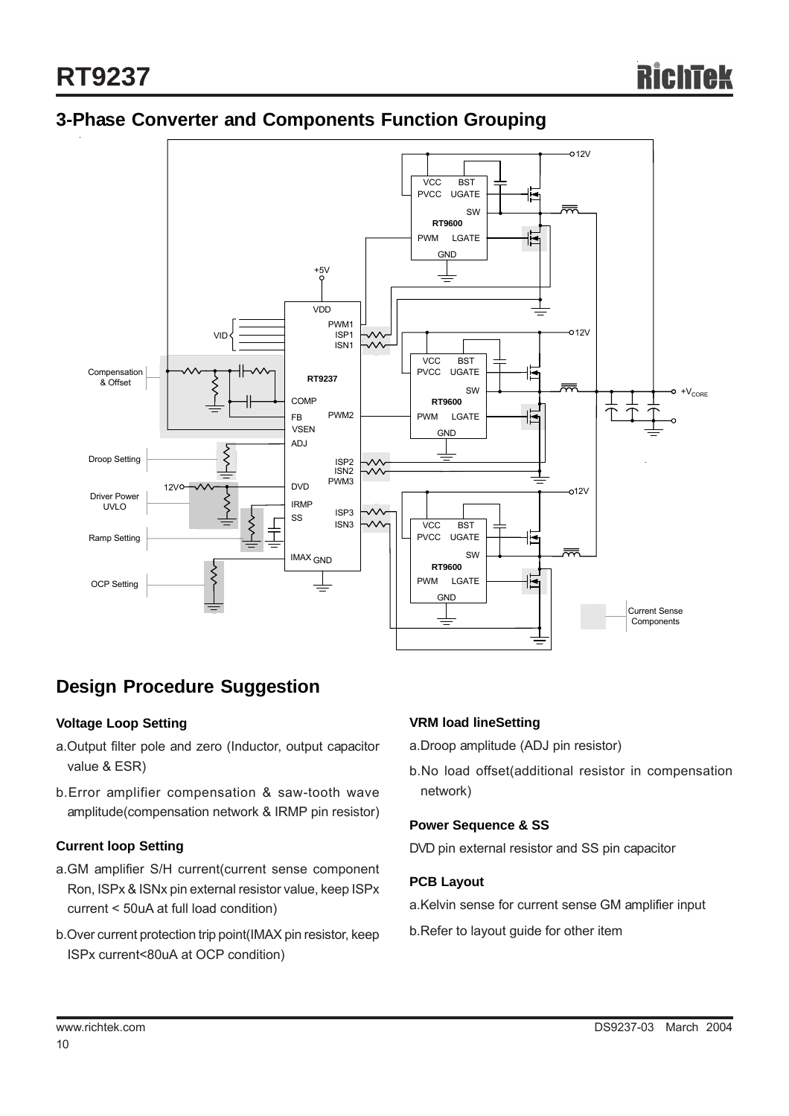## **3-Phase Converter and Components Function Grouping**



## **Design Procedure Suggestion**

#### **Voltage Loop Setting**

- a.Output filter pole and zero (Inductor, output capacitor value & ESR)
- b.Error amplifier compensation & saw-tooth wave amplitude(compensation network & IRMP pin resistor)

#### **Current loop Setting**

- a.GM amplifier S/H current(current sense component Ron, ISPx & ISNx pin external resistor value, keep ISPx current < 50uA at full load condition)
- b.Over current protection trip point(IMAX pin resistor, keep ISPx current<80uA at OCP condition)

#### **VRM load lineSetting**

a.Droop amplitude (ADJ pin resistor)

b.No load offset(additional resistor in compensation network)

#### **Power Sequence & SS**

DVD pin external resistor and SS pin capacitor

#### **PCB Layout**

- a.Kelvin sense for current sense GM amplifier input
- b.Refer to layout guide for other item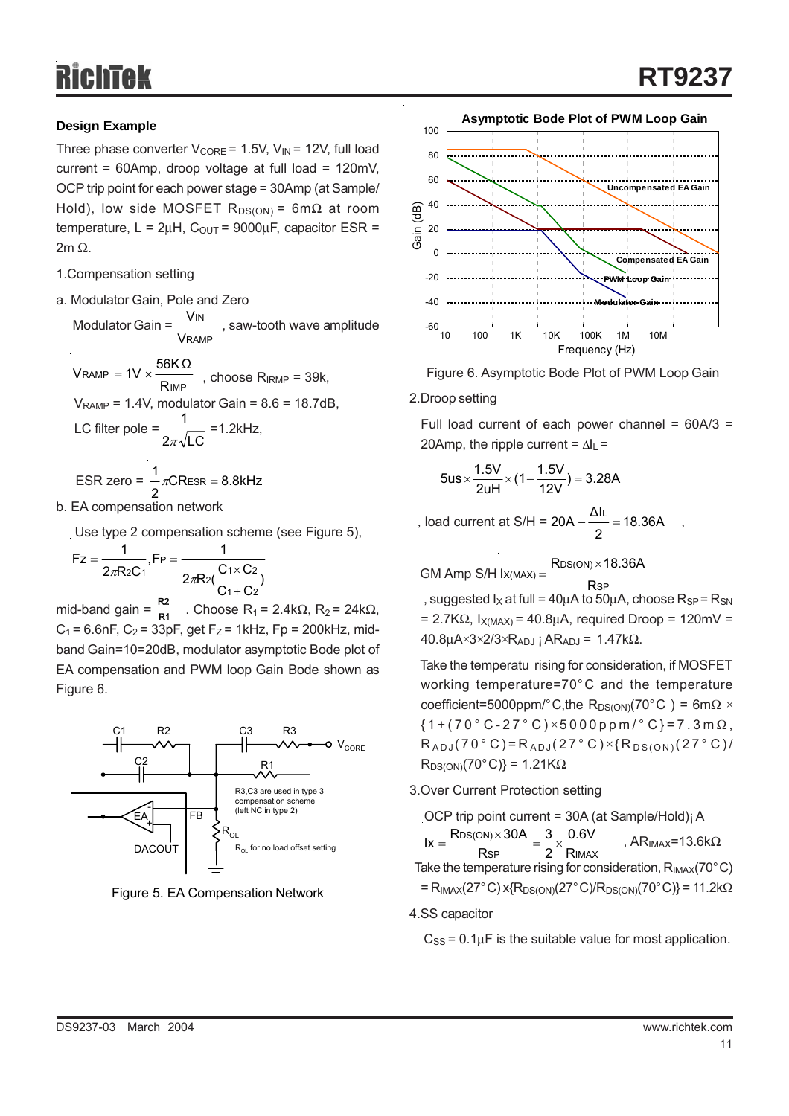## **Design Example**

Three phase converter  $V_{\text{CORE}} = 1.5V$ ,  $V_{\text{IN}} = 12V$ , full load current = 60Amp, droop voltage at full load = 120mV, OCP trip point for each power stage = 30Amp (at Sample/ Hold), low side MOSFET  $R_{DS(ON)} = 6m\Omega$  at room temperature,  $L = 2\mu H$ ,  $C_{\text{OUT}} = 9000\mu F$ , capacitor ESR = 2m Ω.

- 1.Compensation setting
- a. Modulator Gain, Pole and Zero

Modulator Gain =  $\frac{1}{1}$ , saw-tooth wave amplitude RAMP IN V V



### b. EA compensation network

Use type 2 compensation scheme (see Figure 5),

$$
Fz = \frac{1}{2\pi R_2 C_1}, FP = \frac{1}{2\pi R_2(\frac{C_1 \times C_2}{C_1 + C_2})}
$$

mid-band gain =  $\frac{1}{R1}$ . Choose R<sub>1</sub> = 2.4kΩ, R<sub>2</sub> = 24kΩ,  $C_1$  = 6.6nF,  $C_2$  = 33pF, get F<sub>Z</sub> = 1kHz, Fp = 200kHz, midband Gain=10=20dB, modulator asymptotic Bode plot of EA compensation and PWM loop Gain Bode shown as Figure 6. R2







Figure 6. Asymptotic Bode Plot of PWM Loop Gain

#### 2.Droop setting

Full load current of each power channel =  $60A/3$  = 20Amp, the ripple current =  $\Delta I_L$  =

$$
5us \times \frac{1.5V}{2uH} \times (1 - \frac{1.5V}{12V}) = 3.28A
$$

, load current at S/H =  $20A - 18.36A$ , 2  $20A - \frac{\Delta I L}{I} =$ 

 GM Amp S/H SP  $X(MAX) = \frac{RDS(ON)}{R}$  $I_{X(MAX)} = \frac{RDS(ON) \times 18.36A}{1}$ 

, suggested  $I_X$  at full = 40µA to 50µA, choose  $R_{SP} = R_{SN}$  $= 2.7K\Omega$ ,  $I_{X(MAX)} = 40.8\mu A$ , required Droop = 120mV =  $40.8\mu\text{A}\times3\times2/3\times\text{R}_{ADJ}$  ;  $\text{AR}_{ADJ}$  = 1.47k $\Omega$ .

 Take the temperatu rising for consideration, if MOSFET working temperature=70°C and the temperature coefficient=5000ppm/°C,the R<sub>DS(ON)</sub>(70°C) = 6m $\Omega \times$  ${1+(70 °C-27 °C) \times 5000 ppm / °C} = 7.3 m \Omega$ ,  $R_{ADJ} (70\degree C) = R_{ADJ} (27\degree C) \times \{R_{DS(ON)} (27\degree C) /$  $R_{DS(ON)}(70^{\circ}C)\}=1.21K\Omega$ 

#### 3.Over Current Protection setting

 OCP trip point current = 30A (at Sample/Hold)¡ A  $Ix = \frac{RDS(N) \times 36R}{RSP} = \frac{3}{2} \times \frac{0.88R}{R_{IMAX}}$ , AR<sub>IMAX</sub>=13.6kΩ Take the temperature rising for consideration,  $R_{IMAX}(70^{\circ}C)$ DS(ON) R 0.6V 2 3  $\text{lx} = \frac{\text{Rbs}(\text{ON}) \times 30\text{A}}{\text{Rsp}} = \frac{3}{2} \times$ 

 $=$  R<sub>IMAX</sub>(27°C) x{R<sub>DS(ON)</sub>(27°C)/R<sub>DS(ON)</sub>(70°C)} = 11.2k $\Omega$ 

4.SS capacitor

 $C_{SS}$  = 0.1 $\mu$ F is the suitable value for most application.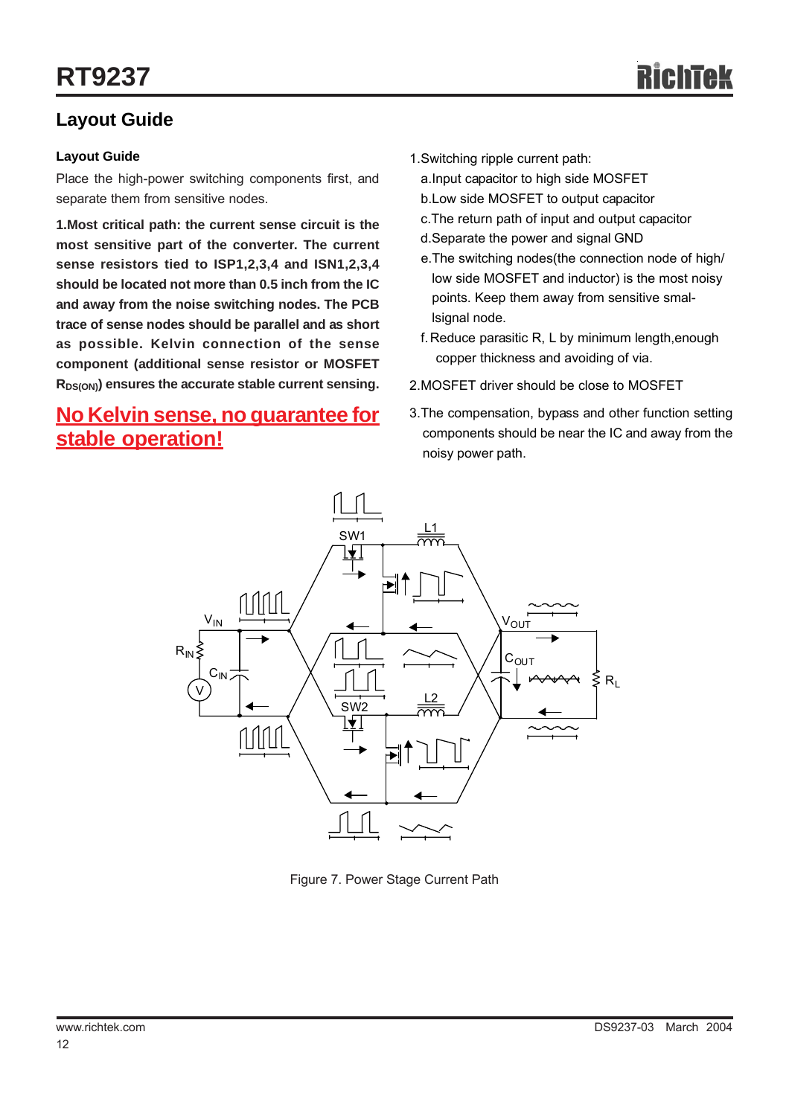## **Layout Guide**

#### **Layout Guide**

Place the high-power switching components first, and separate them from sensitive nodes.

**1.Most critical path: the current sense circuit is the most sensitive part of the converter. The current sense resistors tied to ISP1,2,3,4 and ISN1,2,3,4 should be located not more than 0.5 inch from the IC and away from the noise switching nodes. The PCB trace of sense nodes should be parallel and as short as possible. Kelvin connection of the sense component (additional sense resistor or MOSFET**  $R_{DS(ON)}$  ensures the accurate stable current sensing.

## **No Kelvin sense, no guarantee for stable operation!**

- 1.Switching ripple current path:
	- a.Input capacitor to high side MOSFET
	- b.Low side MOSFET to output capacitor
	- c.The return path of input and output capacitor
	- d.Separate the power and signal GND
	- e.The switching nodes(the connection node of high/ low side MOSFET and inductor) is the most noisy points. Keep them away from sensitive smallsignal node.
	- f.Reduce parasitic R, L by minimum length,enough copper thickness and avoiding of via.
- 2.MOSFET driver should be close to MOSFET
- 3.The compensation, bypass and other function setting components should be near the IC and away from the noisy power path.



Figure 7. Power Stage Current Path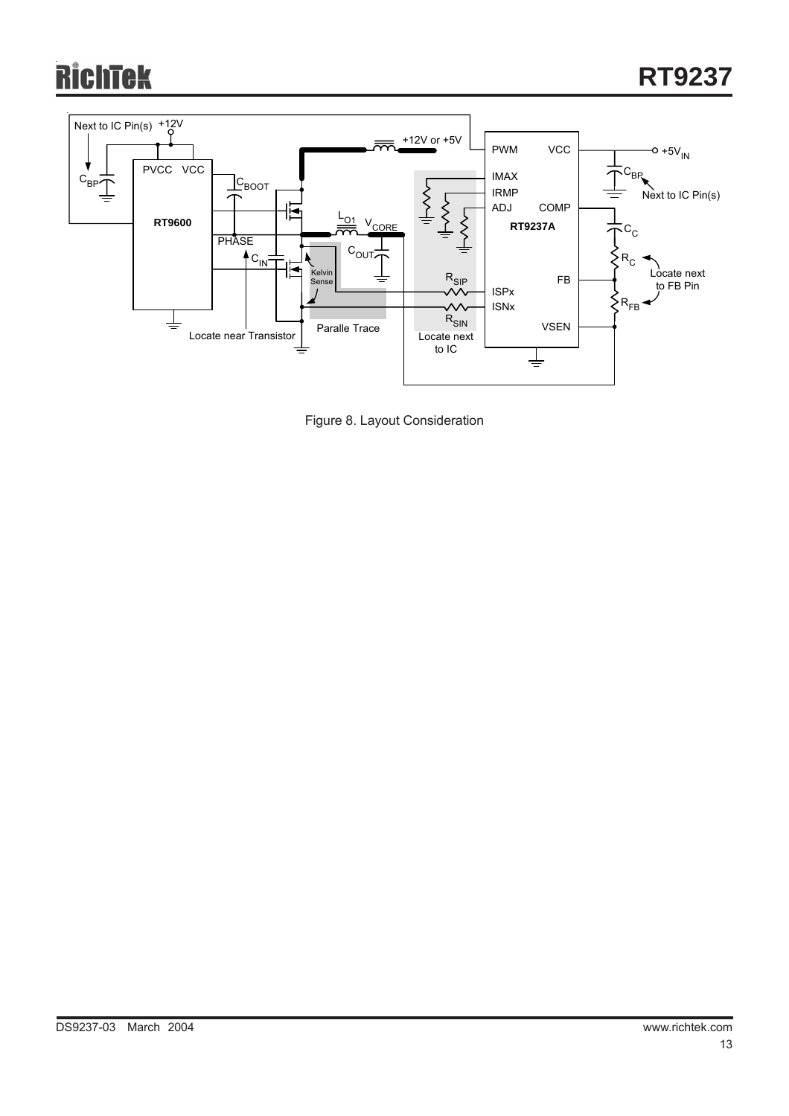# ichtek



Figure 8. Layout Consideration